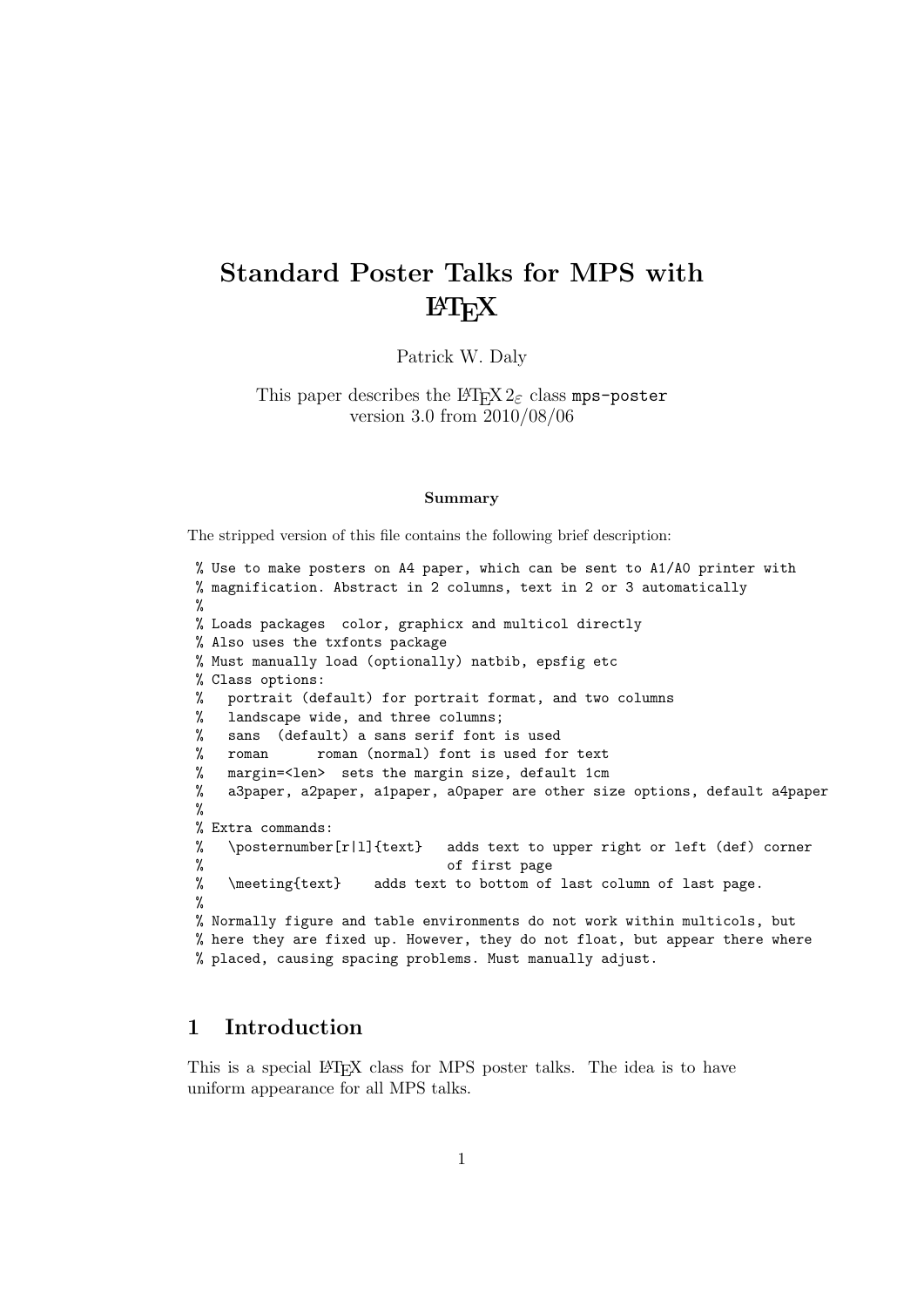# Standard Poster Talks for MPS with **LATEX**

Patrick W. Daly

This paper describes the  $\angle M_{\rm F} \times 2_{\epsilon}$  class mps-poster version 3.0 from 2010/08/06

#### Summary

The stripped version of this file contains the following brief description:

```
% Use to make posters on A4 paper, which can be sent to A1/A0 printer with
% magnification. Abstract in 2 columns, text in 2 or 3 automatically
%
% Loads packages color, graphicx and multicol directly
% Also uses the txfonts package
% Must manually load (optionally) natbib, epsfig etc
% Class options:
% portrait (default) for portrait format, and two columns
% landscape wide, and three columns;
% sans (default) a sans serif font is used
% roman roman (normal) font is used for text
% margin=<len> sets the margin size, default 1cm
% a3paper, a2paper, a1paper, a0paper are other size options, default a4paper
%
% Extra commands:
% \posternumber[r|l]{text} adds text to upper right or left (def) corner
% of first page<br>% \meeting{text} adds text to bottom of
    \meeting{text} adds text to bottom of last column of last page.
%
% Normally figure and table environments do not work within multicols, but
% here they are fixed up. However, they do not float, but appear there where
% placed, causing spacing problems. Must manually adjust.
```
#### 1 Introduction

This is a special LAT<sub>EX</sub> class for MPS poster talks. The idea is to have uniform appearance for all MPS talks.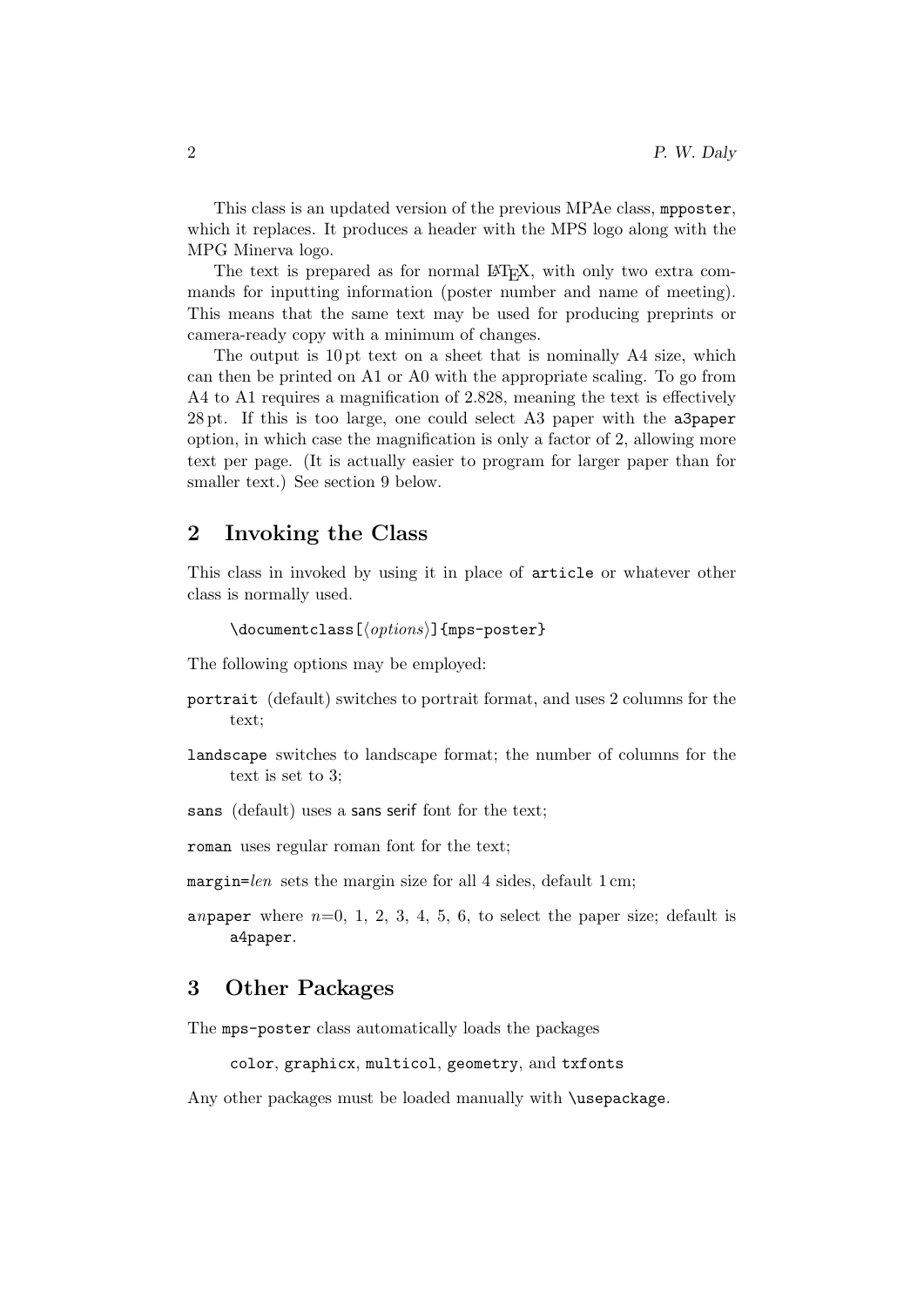This class is an updated version of the previous MPAe class, mpposter, which it replaces. It produces a header with the MPS logo along with the MPG Minerva logo.

The text is prepared as for normal LAT<sub>EX</sub>, with only two extra commands for inputting information (poster number and name of meeting). This means that the same text may be used for producing preprints or camera-ready copy with a minimum of changes.

The output is 10 pt text on a sheet that is nominally A4 size, which can then be printed on A1 or A0 with the appropriate scaling. To go from A4 to A1 requires a magnification of 2.828, meaning the text is effectively 28 pt. If this is too large, one could select A3 paper with the a3paper option, in which case the magnification is only a factor of 2, allowing more text per page. (It is actually easier to program for larger paper than for smaller text.) See section 9 below.

#### 2 Invoking the Class

This class in invoked by using it in place of article or whatever other class is normally used.

```
\dot{\Omega}ss[\langle options \rangle]{mps-poster}
```
The following options may be employed:

- portrait (default) switches to portrait format, and uses 2 columns for the text;
- landscape switches to landscape format; the number of columns for the text is set to 3;
- sans (default) uses a sans serif font for the text;

roman uses regular roman font for the text;

- margin=len sets the margin size for all 4 sides, default  $1 \text{ cm}$ ;
- anpaper where  $n=0, 1, 2, 3, 4, 5, 6$ , to select the paper size; default is a4paper.

#### 3 Other Packages

The mps-poster class automatically loads the packages

color, graphicx, multicol, geometry, and txfonts

Any other packages must be loaded manually with **\usepackage**.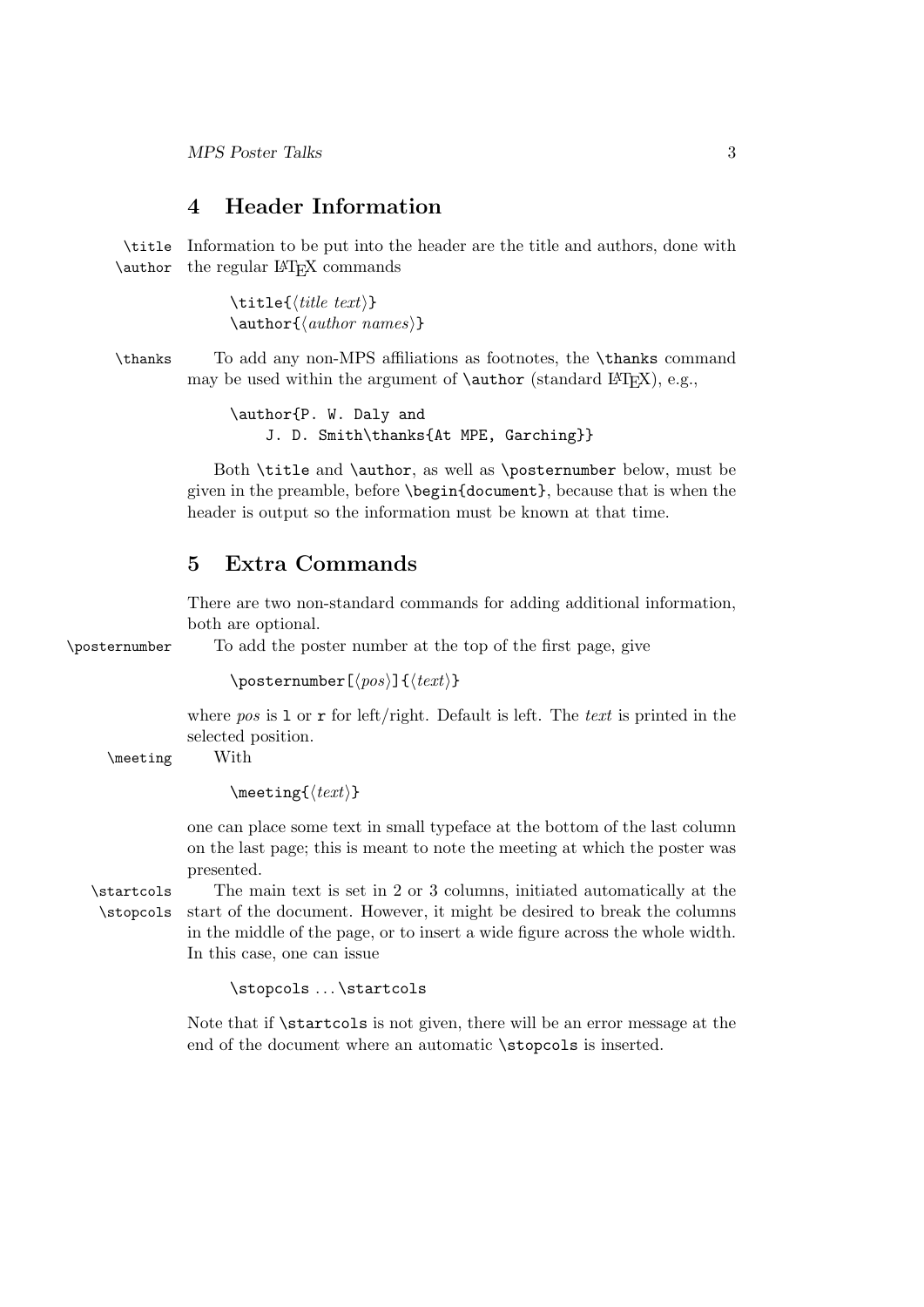#### 4 Header Information

\title Information to be put into the header are the title and authors, done with \author the regular LATEX commands

> $\tilde{\tilde{t}}$  $\{author\ (author\ names\}$

\thanks To add any non-MPS affiliations as footnotes, the \thanks command may be used within the argument of  $\author$  (standard LATEX), e.g.,

> \author{P. W. Daly and J. D. Smith\thanks{At MPE, Garching}}

Both \title and \author, as well as \posternumber below, must be given in the preamble, before \begin{document}, because that is when the header is output so the information must be known at that time.

#### 5 Extra Commands

There are two non-standard commands for adding additional information, both are optional.

\posternumber To add the poster number at the top of the first page, give

 $\text{posternumber}[\langle pos \rangle]\{\langle text \rangle\}$ 

where pos is  $1$  or  $r$  for left/right. Default is left. The text is printed in the selected position.

\meeting With

 $\text{length}$ 

one can place some text in small typeface at the bottom of the last column on the last page; this is meant to note the meeting at which the poster was presented.

\startcols The main text is set in 2 or 3 columns, initiated automatically at the \stopcols start of the document. However, it might be desired to break the columns in the middle of the page, or to insert a wide figure across the whole width. In this case, one can issue

\stopcols ... \startcols

Note that if  $\start$  is not given, there will be an error message at the end of the document where an automatic \stopcols is inserted.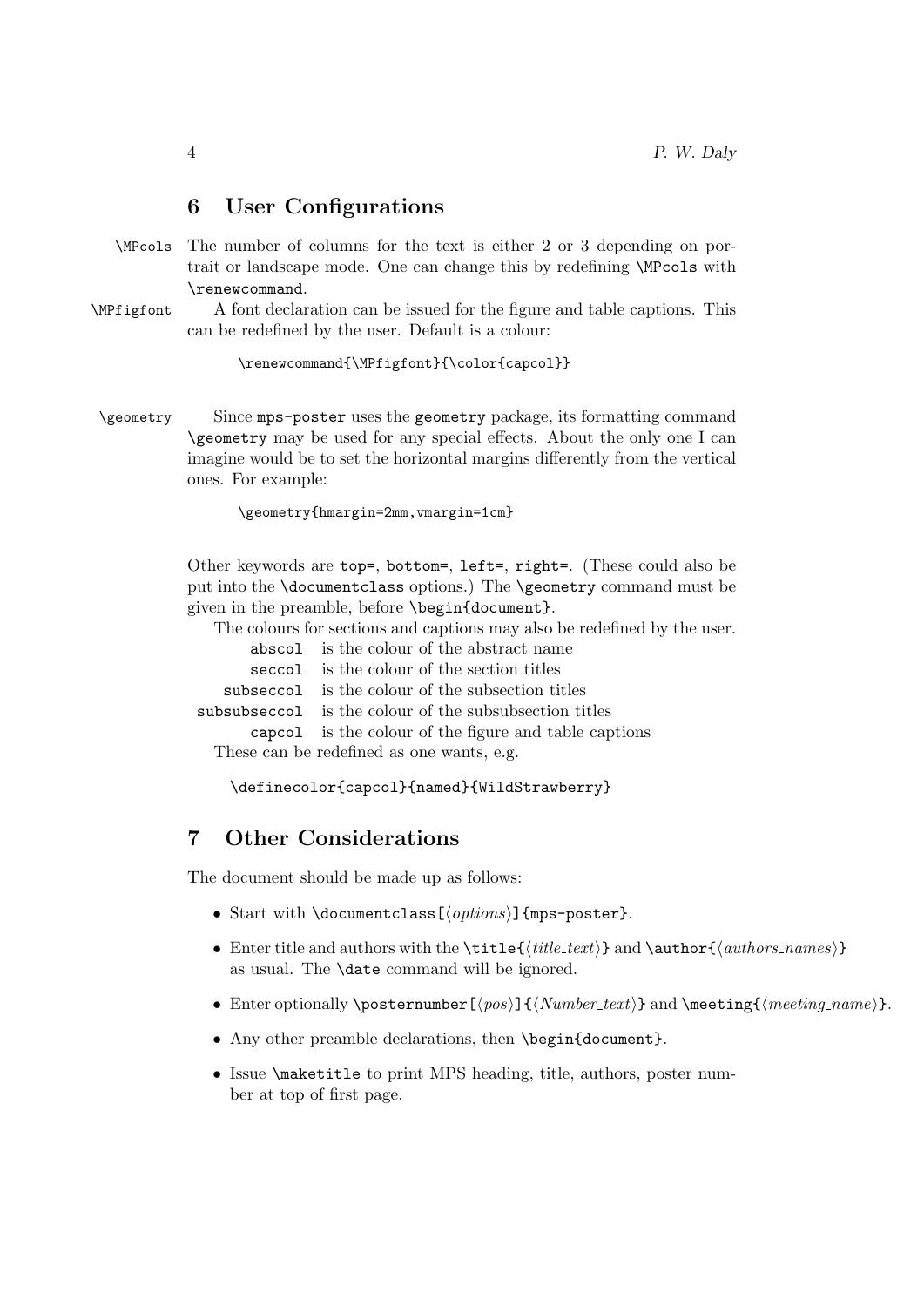### 6 User Configurations

- \MPcols The number of columns for the text is either 2 or 3 depending on portrait or landscape mode. One can change this by redefining \MPcols with \renewcommand.
- \MPfigfont A font declaration can be issued for the figure and table captions. This can be redefined by the user. Default is a colour:

\renewcommand{\MPfigfont}{\color{capcol}}

\geometry Since mps-poster uses the geometry package, its formatting command \geometry may be used for any special effects. About the only one I can imagine would be to set the horizontal margins differently from the vertical ones. For example:

\geometry{hmargin=2mm,vmargin=1cm}

Other keywords are top=, bottom=, left=, right=. (These could also be put into the \documentclass options.) The \geometry command must be given in the preamble, before \begin{document}.

The colours for sections and captions may also be redefined by the user.

|                                           | abscol is the colour of the abstract name              |
|-------------------------------------------|--------------------------------------------------------|
|                                           | seccol is the colour of the section titles             |
|                                           | subseccol is the colour of the subsection titles       |
|                                           | subsubseccol is the colour of the subsubsection titles |
|                                           | capcol is the colour of the figure and table captions  |
| These can be redefined as one wants, e.g. |                                                        |
|                                           |                                                        |

\definecolor{capcol}{named}{WildStrawberry}

## 7 Other Considerations

The document should be made up as follows:

- Start with \documentclass[ $\langle options \rangle$ ]{mps-poster}.
- Enter title and authors with the  $\tilde{\it{title}\$  and  $\author{\{authors \} }$ as usual. The \date command will be ignored.
- Enter optionally \posternumber  $[\pos] {\langle Number\_text \} \rangle \}$  and \meeting  ${\langle meeting\_name \rangle}.$
- Any other preamble declarations, then \begin{document}.
- Issue \maketitle to print MPS heading, title, authors, poster number at top of first page.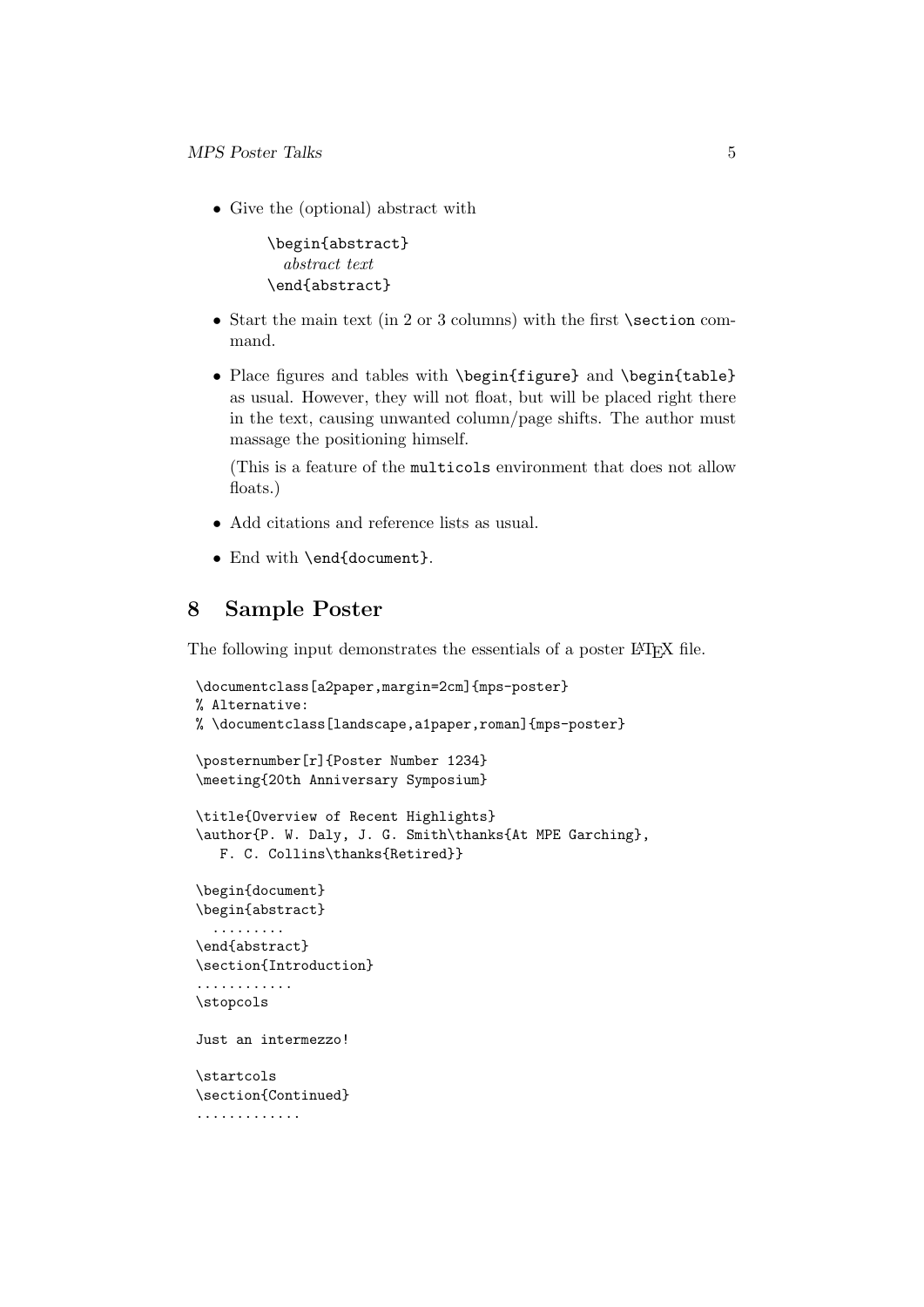• Give the (optional) abstract with

```
\begin{abstract}
  abstract text
\end{abstract}
```
- Start the main text (in 2 or 3 columns) with the first \section command.
- Place figures and tables with \begin{figure} and \begin{table} as usual. However, they will not float, but will be placed right there in the text, causing unwanted column/page shifts. The author must massage the positioning himself.

(This is a feature of the multicols environment that does not allow floats.)

- Add citations and reference lists as usual.
- End with \end{document}.

## 8 Sample Poster

The following input demonstrates the essentials of a poster LAT<sub>EX</sub> file.

```
\documentclass[a2paper,margin=2cm]{mps-poster}
% Alternative:
% \documentclass[landscape,a1paper,roman]{mps-poster}
\posternumber[r]{Poster Number 1234}
\meeting{20th Anniversary Symposium}
\title{Overview of Recent Highlights}
\author{P. W. Daly, J. G. Smith\thanks{At MPE Garching},
  F. C. Collins\thanks{Retired}}
\begin{document}
\begin{abstract}
  .........
\end{abstract}
\section{Introduction}
............
\stopcols
Just an intermezzo!
\startcols
\section{Continued}
.............
```